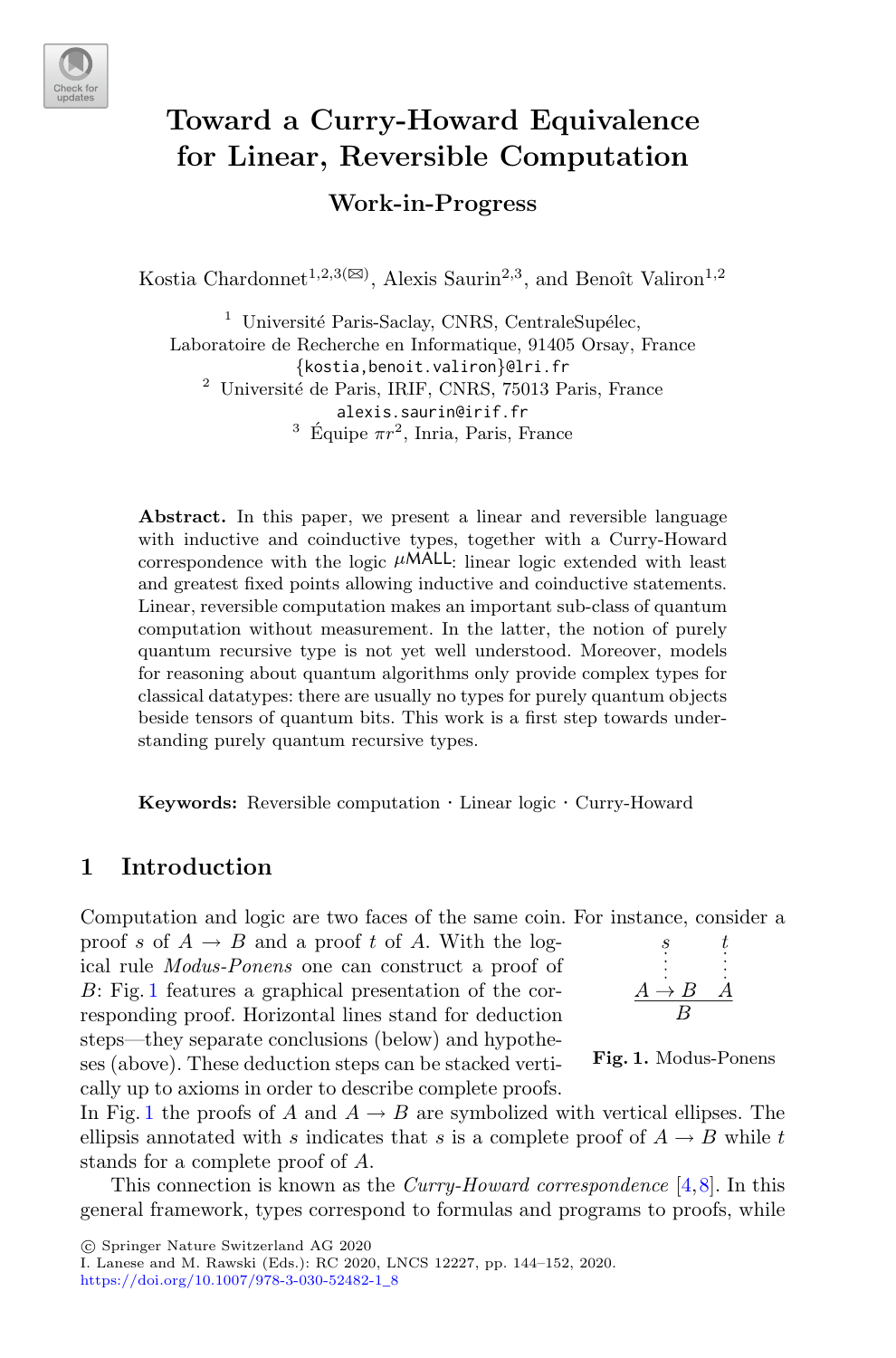

# **Toward a Curry-Howard Equivalence for Linear, Reversible Computation**

# **Work-in-Progress**

Kostia Chardonnet<sup>1,2,3( $\boxtimes$ )</sup>, Alexis Saurin<sup>2,3</sup>, and Benoît Valiron<sup>1,2</sup>

<sup>1</sup> Université Paris-Saclay, CNRS, CentraleSupélec, Laboratoire de Recherche en Informatique, 91405 Orsay, France  $^2$ Université de Paris, IRIF, CNRS, 75013 Paris, France alexis.saurin@irif.fr <sup>3</sup> Équipe  $\pi r^2$ , Inria, Paris, France

Abstract. In this paper, we present a linear and reversible language with inductive and coinductive types, together with a Curry-Howard correspondence with the logic  $\mu$ MALL: linear logic extended with least and greatest fixed points allowing inductive and coinductive statements. Linear, reversible computation makes an important sub-class of quantum computation without measurement. In the latter, the notion of purely quantum recursive type is not yet well understood. Moreover, models for reasoning about quantum algorithms only provide complex types for classical datatypes: there are usually no types for purely quantum objects beside tensors of quantum bits. This work is a first step towards understanding purely quantum recursive types.

**Keywords:** Reversible computation · Linear logic · Curry-Howard

### **1 Introduction**

Computation and logic are two faces of the same coin. For instance, consider a

proof s of  $A \rightarrow B$  and a proof t of A. With the logical rule *Modus-Ponens* one can construct a proof of B: Fig. [1](#page-0-0) features a graphical presentation of the corresponding proof. Horizontal lines stand for deduction steps—they separate conclusions (below) and hypotheses (above). These deduction steps can be stacked vertically up to axioms in order to describe complete proofs.



<span id="page-0-0"></span>

In Fig. [1](#page-0-0) the proofs of A and  $A \rightarrow B$  are symbolized with vertical ellipses. The ellipsis annotated with s indicates that s is a complete proof of  $A \rightarrow B$  while t stands for a complete proof of A.

This connection is known as the *Curry-Howard correspondence* [\[4](#page-7-0)[,8](#page-8-0)]. In this general framework, types correspond to formulas and programs to proofs, while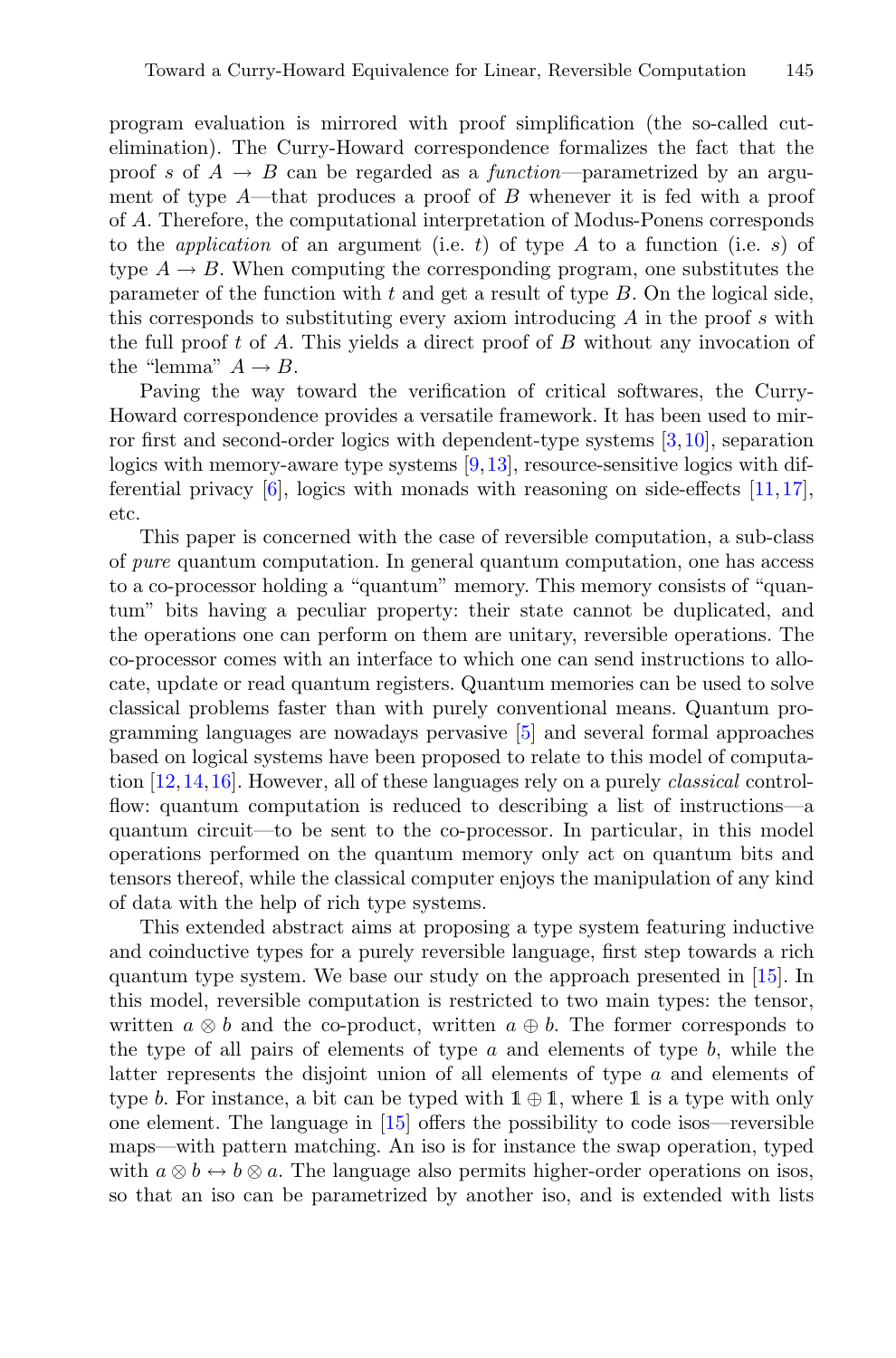program evaluation is mirrored with proof simplification (the so-called cutelimination). The Curry-Howard correspondence formalizes the fact that the proof s of  $A \rightarrow B$  can be regarded as a *function*—parametrized by an argument of type  $A$ —that produces a proof of  $B$  whenever it is fed with a proof of A. Therefore, the computational interpretation of Modus-Ponens corresponds to the *application* of an argument (i.e. t) of type  $A$  to a function (i.e.  $s$ ) of type  $A \rightarrow B$ . When computing the corresponding program, one substitutes the parameter of the function with  $t$  and get a result of type  $B$ . On the logical side, this corresponds to substituting every axiom introducing A in the proof s with the full proof  $t$  of  $A$ . This yields a direct proof of  $B$  without any invocation of the "lemma"  $A \rightarrow B$ .

Paving the way toward the verification of critical softwares, the Curry-Howard correspondence provides a versatile framework. It has been used to mirror first and second-order logics with dependent-type systems [\[3](#page-7-1),[10\]](#page-8-1), separation logics with memory-aware type systems [\[9](#page-8-2),[13\]](#page-8-3), resource-sensitive logics with differential privacy  $[6]$  $[6]$ , logics with monads with reasoning on side-effects  $[11,17]$  $[11,17]$  $[11,17]$ , etc.

This paper is concerned with the case of reversible computation, a sub-class of *pure* quantum computation. In general quantum computation, one has access to a co-processor holding a "quantum" memory. This memory consists of "quantum" bits having a peculiar property: their state cannot be duplicated, and the operations one can perform on them are unitary, reversible operations. The co-processor comes with an interface to which one can send instructions to allocate, update or read quantum registers. Quantum memories can be used to solve classical problems faster than with purely conventional means. Quantum programming languages are nowadays pervasive [\[5](#page-7-3)] and several formal approaches based on logical systems have been proposed to relate to this model of computation [\[12](#page-8-6),[14,](#page-8-7)[16\]](#page-8-8). However, all of these languages rely on a purely *classical* controlflow: quantum computation is reduced to describing a list of instructions—a quantum circuit—to be sent to the co-processor. In particular, in this model operations performed on the quantum memory only act on quantum bits and tensors thereof, while the classical computer enjoys the manipulation of any kind of data with the help of rich type systems.

This extended abstract aims at proposing a type system featuring inductive and coinductive types for a purely reversible language, first step towards a rich quantum type system. We base our study on the approach presented in [\[15](#page-8-9)]. In this model, reversible computation is restricted to two main types: the tensor, written  $a \otimes b$  and the co-product, written  $a \oplus b$ . The former corresponds to the type of all pairs of elements of type  $a$  and elements of type  $b$ , while the latter represents the disjoint union of all elements of type a and elements of type b. For instance, a bit can be typed with  $1 \oplus 1$ , where 1 is a type with only one element. The language in [\[15](#page-8-9)] offers the possibility to code isos—reversible maps—with pattern matching. An iso is for instance the swap operation, typed with  $a \otimes b \leftrightarrow b \otimes a$ . The language also permits higher-order operations on isos, so that an iso can be parametrized by another iso, and is extended with lists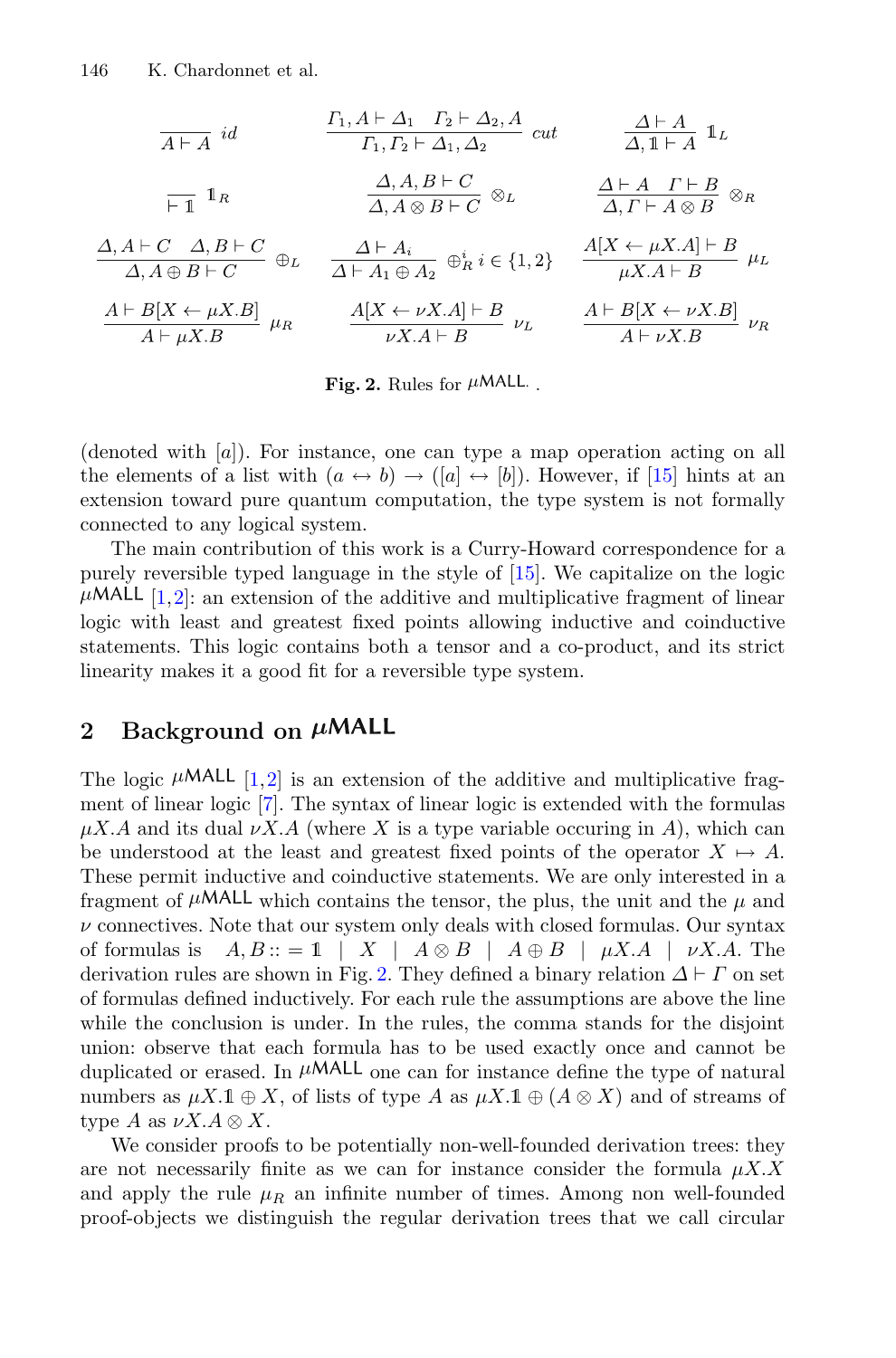Δ,

$$
\frac{A+A}{A+A} \text{ id} \qquad \frac{\Gamma_1, A \vdash \Delta_1 \quad \Gamma_2 \vdash \Delta_2, A}{\Gamma_1, \Gamma_2 \vdash \Delta_1, \Delta_2} \text{ cut} \qquad \frac{\Delta \vdash A}{\Delta, 1 \vdash A} \mathbb{1}_L
$$
\n
$$
\frac{A, A, B \vdash C}{\Box, A \otimes B \vdash C} \otimes_L \qquad \frac{\Delta \vdash A \quad \Gamma \vdash B}{\Delta, \Gamma \vdash A \otimes B} \otimes_R
$$
\n
$$
\frac{A, A \vdash C \quad \Delta, B \vdash C}{\Delta, A \oplus B \vdash C} \oplus_L \qquad \frac{\Delta \vdash A_i}{\Delta \vdash A_1 \oplus A_2} \oplus_R^i i \in \{1, 2\} \qquad \frac{A[X \leftarrow \mu X.A] \vdash B}{\mu X.A \vdash B} \mu L
$$
\n
$$
\frac{A \vdash B[X \leftarrow \mu X.B]}{A \vdash \mu X.B} \mu_R \qquad \frac{A[X \leftarrow \nu X.A] \vdash B}{\nu X.A \vdash B} \nu_L \qquad \frac{A \vdash B[X \leftarrow \nu X.B]}{A \vdash \nu X.B} \nu_R
$$

<span id="page-2-0"></span>Fig. 2. Rules for  $\mu$ MALL...

(denoted with  $[a]$ ). For instance, one can type a map operation acting on all the elements of a list with  $(a \leftrightarrow b) \rightarrow ([a] \leftrightarrow [b])$ . However, if [\[15](#page-8-9)] hints at an extension toward pure quantum computation, the type system is not formally connected to any logical system.

The main contribution of this work is a Curry-Howard correspondence for a purely reversible typed language in the style of [\[15\]](#page-8-9). We capitalize on the logic  $\mu$ MALL [\[1,](#page-7-4)[2](#page-7-5)]: an extension of the additive and multiplicative fragment of linear logic with least and greatest fixed points allowing inductive and coinductive statements. This logic contains both a tensor and a co-product, and its strict linearity makes it a good fit for a reversible type system.

# <span id="page-2-1"></span>2 Background on  $\mu$ MALL

The logic  $\mu$ MALL [\[1](#page-7-4)[,2\]](#page-7-5) is an extension of the additive and multiplicative fragment of linear logic [\[7\]](#page-8-10). The syntax of linear logic is extended with the formulas  $\mu X.A$  and its dual  $\nu X.A$  (where X is a type variable occuring in A), which can be understood at the least and greatest fixed points of the operator  $X \mapsto A$ . These permit inductive and coinductive statements. We are only interested in a fragment of  $\mu$ MALL which contains the tensor, the plus, the unit and the  $\mu$  and  $\nu$  connectives. Note that our system only deals with closed formulas. Our syntax of formulas is  $A, B ::= \mathbb{1} \mid X \mid A \otimes B \mid A \oplus B \mid \mu X.A \mid \nu X.A$ . The derivation rules are shown in Fig. [2.](#page-2-0) They defined a binary relation  $\Delta \vdash \Gamma$  on set of formulas defined inductively. For each rule the assumptions are above the line while the conclusion is under. In the rules, the comma stands for the disjoint union: observe that each formula has to be used exactly once and cannot be duplicated or erased. In  $\mu$ MALL one can for instance define the type of natural numbers as  $\mu X.1 \oplus X$ , of lists of type A as  $\mu X.1 \oplus (A \otimes X)$  and of streams of type A as  $\nu X.A \otimes X$ .

We consider proofs to be potentially non-well-founded derivation trees: they are not necessarily finite as we can for instance consider the formula  $\mu X.X$ and apply the rule  $\mu_R$  an infinite number of times. Among non well-founded proof-objects we distinguish the regular derivation trees that we call circular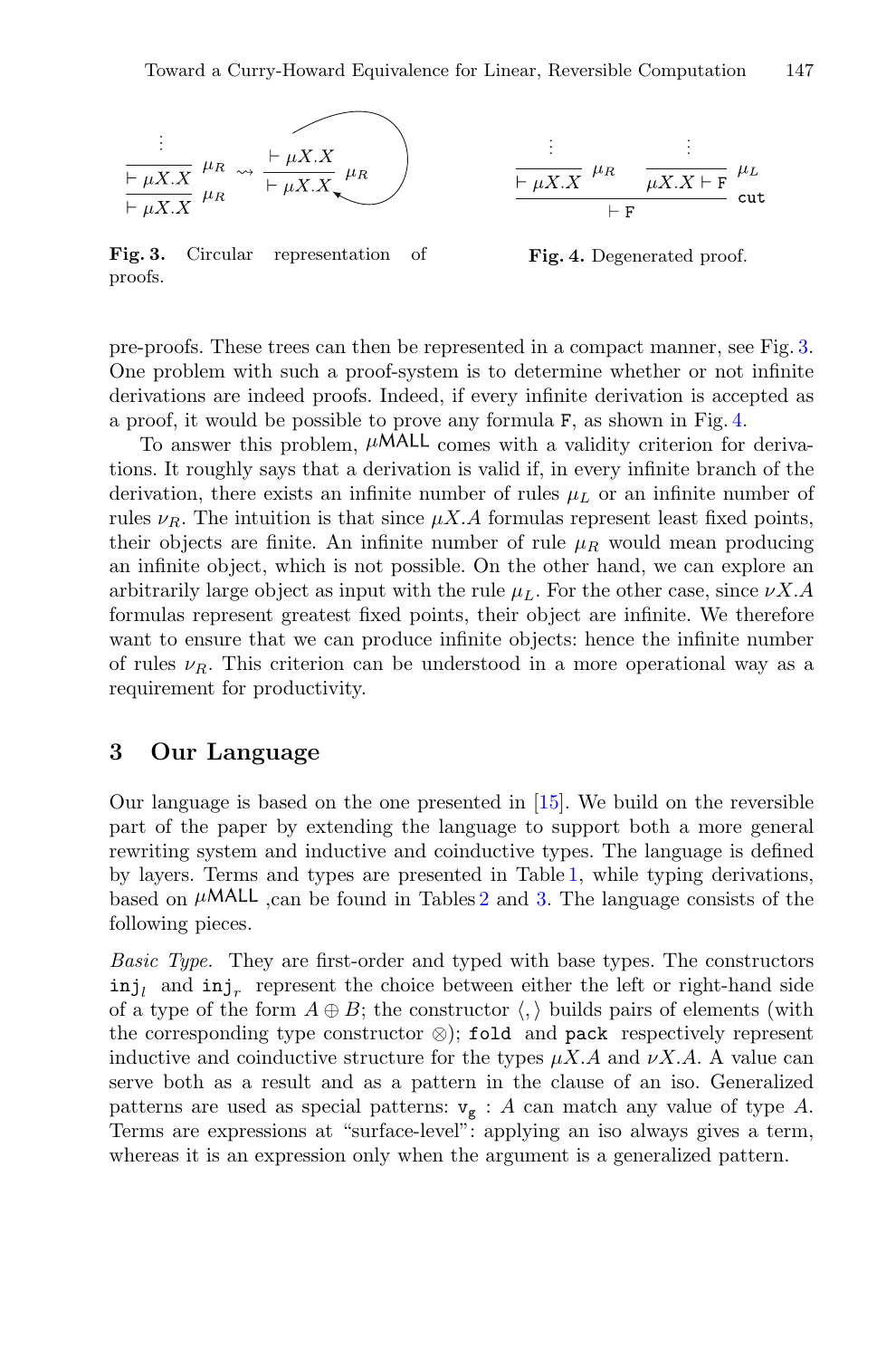

<span id="page-3-0"></span>**Fig. 3.** Circular representation of proofs.

<span id="page-3-1"></span>

pre-proofs. These trees can then be represented in a compact manner, see Fig. [3.](#page-3-0) One problem with such a proof-system is to determine whether or not infinite derivations are indeed proofs. Indeed, if every infinite derivation is accepted as a proof, it would be possible to prove any formula F, as shown in Fig. [4.](#page-3-1)

To answer this problem,  $\mu$ MALL comes with a validity criterion for derivations. It roughly says that a derivation is valid if, in every infinite branch of the derivation, there exists an infinite number of rules μ*<sup>L</sup>* or an infinite number of rules  $\nu_R$ . The intuition is that since  $\mu X.A$  formulas represent least fixed points, their objects are finite. An infinite number of rule  $\mu_R$  would mean producing an infinite object, which is not possible. On the other hand, we can explore an arbitrarily large object as input with the rule  $\mu_L$ . For the other case, since  $\nu X.A$ formulas represent greatest fixed points, their object are infinite. We therefore want to ensure that we can produce infinite objects: hence the infinite number of rules  $\nu_R$ . This criterion can be understood in a more operational way as a requirement for productivity.

#### **3 Our Language**

Our language is based on the one presented in [\[15](#page-8-9)]. We build on the reversible part of the paper by extending the language to support both a more general rewriting system and inductive and coinductive types. The language is defined by layers. Terms and types are presented in Table [1,](#page-4-0) while typing derivations, based on  $\mu$ MALL can be found in Tables [2](#page-5-0) and [3.](#page-5-1) The language consists of the following pieces.

*Basic Type.* They are first-order and typed with base types. The constructors inj<sub>l</sub> and inj<sub>r</sub> represent the choice between either the left or right-hand side of a type of the form  $A \oplus B$ ; the constructor  $\langle, \rangle$  builds pairs of elements (with the corresponding type constructor <sup>⊗</sup>); fold and pack respectively represent inductive and coinductive structure for the types  $\mu X.A$  and  $\nu X.A$ . A value can serve both as a result and as a pattern in the clause of an iso. Generalized patterns are used as special patterns:  $v_{\sigma}$ : A can match any value of type A. Terms are expressions at "surface-level": applying an iso always gives a term, whereas it is an expression only when the argument is a generalized pattern.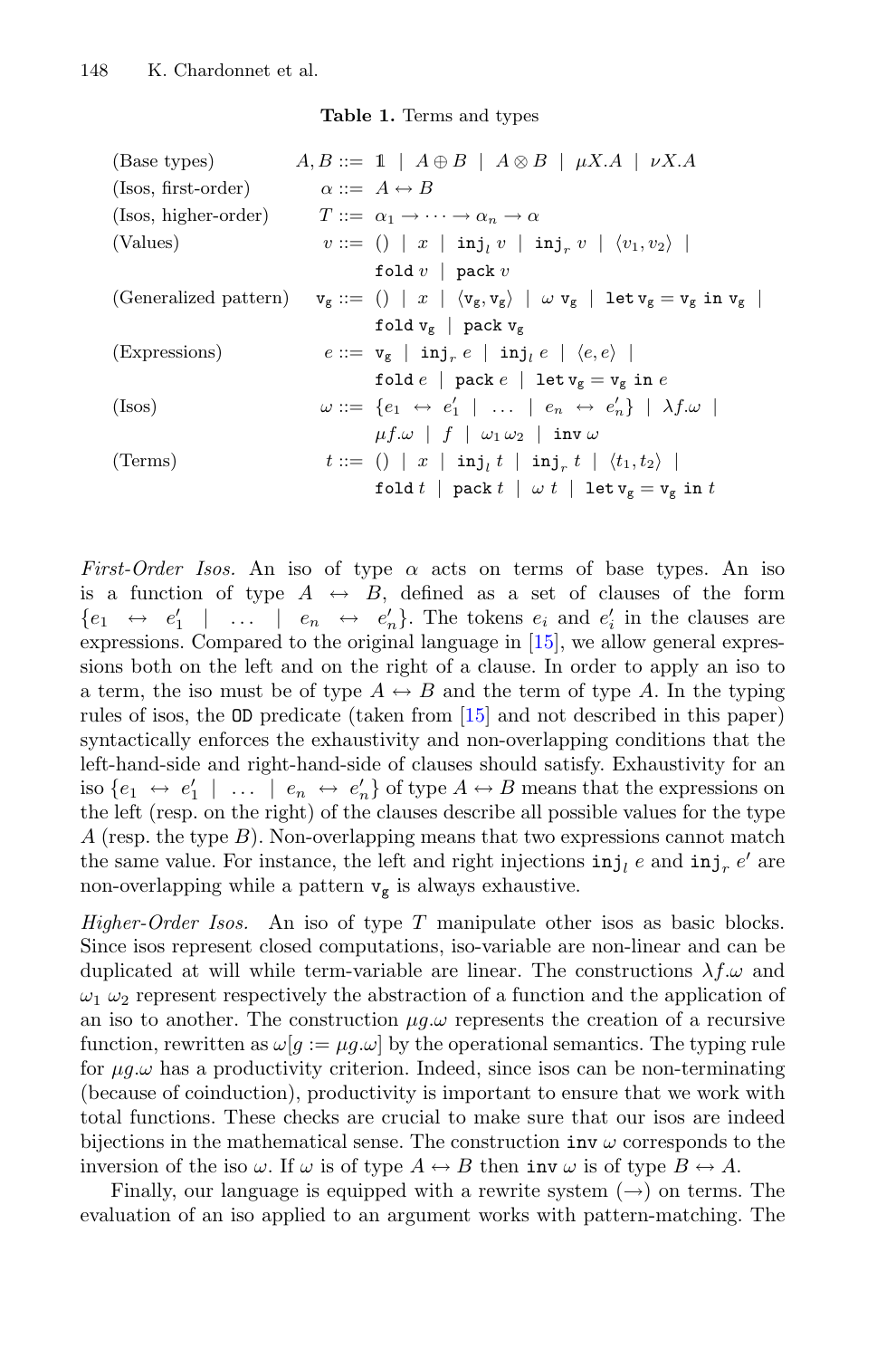#### <span id="page-4-0"></span>**Table 1.** Terms and types

| (Base types)                                                                                     |                                  | $A, B ::= \mathbb{1}   A \oplus B   A \otimes B   \mu X.A   \nu X.A$                                            |
|--------------------------------------------------------------------------------------------------|----------------------------------|-----------------------------------------------------------------------------------------------------------------|
| (Isos, first-order)                                                                              | $\alpha ::= A \leftrightarrow B$ |                                                                                                                 |
| (Isos, higher-order) $T ::= \alpha_1 \rightarrow \cdots \rightarrow \alpha_n \rightarrow \alpha$ |                                  |                                                                                                                 |
| (Values)                                                                                         |                                  | $v ::= () \mid x \mid \text{inj}_{l} v \mid \text{inj}_{r} v \mid \langle v_1, v_2 \rangle$                     |
|                                                                                                  |                                  | fold $v$   pack $v$                                                                                             |
|                                                                                                  |                                  | (Generalized pattern) $v_g ::= ()   x   \langle v_g, v_g \rangle   \omega v_g  $ let $v_g = v_g$ in $v_g  $     |
|                                                                                                  |                                  | fold $v_g$   pack $v_g$                                                                                         |
| (Expressions)                                                                                    |                                  | $e ::= \mathbf{v}_{\epsilon} \mid \mathbf{inj}_{r} e \mid \mathbf{inj}_{l} e \mid \langle e, e \rangle \mid$    |
|                                                                                                  |                                  | fold $e$   pack $e$   let $v_g = v_g$ in $e$                                                                    |
| $(I$ sos $)$                                                                                     |                                  | $\omega ::= \{e_1 \leftrightarrow e'_1 \mid \ldots \mid e_n \leftrightarrow e'_n\} \mid \lambda f. \omega \mid$ |
|                                                                                                  |                                  | $\mu f \omega$   f   $\omega_1 \omega_2$   inv $\omega$                                                         |
| (Terms)                                                                                          |                                  | $t ::= () \mid x \mid \text{inj}, t \mid \text{inj}_r t \mid \langle t_1, t_2 \rangle \mid$                     |
|                                                                                                  |                                  | fold t   pack $t$   $\omega t$   let $v_g = v_g$ in t                                                           |
|                                                                                                  |                                  |                                                                                                                 |

*First-Order Isos.* An iso of type  $\alpha$  acts on terms of base types. An iso is a function of type  $A \leftrightarrow B$ , defined as a set of clauses of the form  $\{e_1 \leftrightarrow e'_1 \mid \ldots \mid e_n \leftrightarrow e'_n\}.$  The tokens  $e_i$  and  $e'_i$  in the clauses are expressions. Compared to the original language in [\[15\]](#page-8-9), we allow general expressions both on the left and on the right of a clause. In order to apply an iso to a term, the iso must be of type  $A \leftrightarrow B$  and the term of type A. In the typing rules of isos, the OD predicate (taken from [\[15](#page-8-9)] and not described in this paper) syntactically enforces the exhaustivity and non-overlapping conditions that the left-hand-side and right-hand-side of clauses should satisfy. Exhaustivity for an iso  $\{e_1 \leftrightarrow e'_1 \mid \ldots \mid e_n \leftrightarrow e'_n\}$  of type  $A \leftrightarrow B$  means that the expressions on the left (resp. on the right) of the clauses describe all possible values for the type  $A$  (resp. the type  $B$ ). Non-overlapping means that two expressions cannot match the same value. For instance, the left and right injections  $\text{inj}_l e$  and  $\text{inj}_r e'$  are non-overlapping while a pattern  $v_g$  is always exhaustive.

*Higher-Order Isos.* An iso of type T manipulate other isos as basic blocks. Since isos represent closed computations, iso-variable are non-linear and can be duplicated at will while term-variable are linear. The constructions  $\lambda f \omega$  and  $\omega_1$   $\omega_2$  represent respectively the abstraction of a function and the application of an iso to another. The construction  $\mu g \omega$  represents the creation of a recursive function, rewritten as  $\omega[g := \mu g.\omega]$  by the operational semantics. The typing rule for  $\mu g \omega$  has a productivity criterion. Indeed, since isos can be non-terminating (because of coinduction), productivity is important to ensure that we work with total functions. These checks are crucial to make sure that our isos are indeed bijections in the mathematical sense. The construction  $inv \omega$  corresponds to the inversion of the iso  $\omega$ . If  $\omega$  is of type  $A \leftrightarrow B$  then inv  $\omega$  is of type  $B \leftrightarrow A$ .

Finally, our language is equipped with a rewrite system  $(\rightarrow)$  on terms. The evaluation of an iso applied to an argument works with pattern-matching. The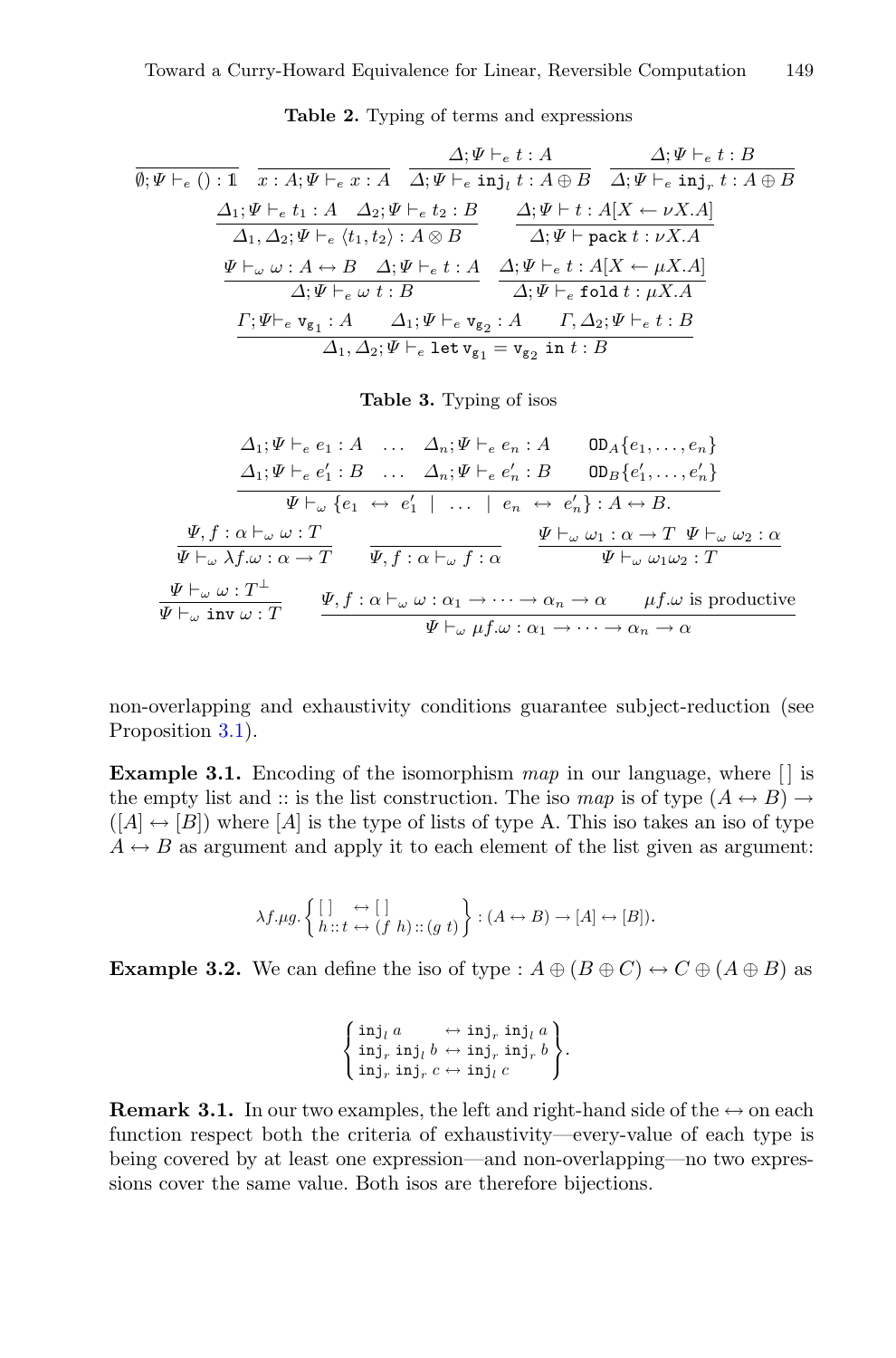<span id="page-5-0"></span>**Table 2.** Typing of terms and expressions

$$
\frac{\Delta; \Psi \vdash_{e} t : A \qquad \Delta; \Psi \vdash_{e} t : B}{\emptyset; \Psi \vdash_{e} () : 1} \quad \frac{\Delta; \Psi \vdash_{e} t : A \qquad \Delta; \Psi \vdash_{e} t : A \oplus B \qquad \Delta; \Psi \vdash_{e} t : B}{\Delta; \Psi \vdash_{e} t_{1} : A \qquad \Delta_{2}; \Psi \vdash_{e} t_{2} : B \qquad \Delta; \Psi \vdash t : A[X \leftarrow \nu X.A]}\Delta_{1}, \Delta_{2}; \Psi \vdash_{e} \langle t_{1}, t_{2} \rangle : A \otimes B \qquad \Delta; \Psi \vdash t : A[X \leftarrow \nu X.A]\Psi \vdash_{\omega} \omega : A \leftrightarrow B \qquad \Delta; \Psi \vdash_{e} t : A \qquad \Delta; \Psi \vdash_{e} t : A[X \leftarrow \mu X.A]\Delta; \Psi \vdash_{e} \omega t : B \qquad \Delta; \Psi \vdash_{e} t : A[X \leftarrow \mu X.A]\Gamma; \Psi \vdash_{e} v_{g_{1}} : A \qquad \Delta_{1}; \Psi \vdash_{e} v_{g_{2}} : A \qquad \Gamma, \Delta_{2}; \Psi \vdash_{e} t : B\Delta_{1}, \Delta_{2}; \Psi \vdash_{e} t \vdash v_{g_{1}} = v_{g_{2}} \text{ in } t : B
$$

<span id="page-5-1"></span>**Table 3.** Typing of isos

$$
\Delta_1; \Psi \vdash_e e_1 : A \quad \dots \quad \Delta_n; \Psi \vdash_e e_n : A \qquad \text{OD}_A \{e_1, \dots, e_n\} \n\Delta_1; \Psi \vdash_e e'_1 : B \quad \dots \quad \Delta_n; \Psi \vdash_e e'_n : B \qquad \text{OD}_B \{e'_1, \dots, e'_n\} \n\overline{\Psi \vdash_\omega \{e_1 \leftrightarrow e'_1 \mid \dots \mid e_n \leftrightarrow e'_n\} : A \leftrightarrow B}.
$$
\n
$$
\frac{\Psi, f : \alpha \vdash_\omega \omega : T}{\Psi \vdash_\omega \lambda f. \omega : \alpha \to T} \quad \overline{\Psi, f : \alpha \vdash_\omega f : \alpha} \qquad \frac{\Psi \vdash_\omega \omega_1 : \alpha \to T \ \Psi \vdash_\omega \omega_2 : \alpha}{\Psi \vdash_\omega \omega_1 \omega_2 : T}
$$
\n
$$
\frac{\Psi \vdash_\omega \omega : T^\perp}{\Psi \vdash_\omega \text{ inv } \omega : T} \qquad \frac{\Psi, f : \alpha \vdash_\omega \omega : \alpha_1 \to \dots \to \alpha_n \to \alpha \quad \mu f. \omega \text{ is productive}}{\Psi \vdash_\omega \mu f. \omega : \alpha_1 \to \dots \to \alpha_n \to \alpha}
$$

non-overlapping and exhaustivity conditions guarantee subject-reduction (see Proposition [3.1\)](#page-5-2).

**Example 3.1.** Encoding of the isomorphism *map* in our language, where  $\Box$  is the empty list and :: is the list construction. The iso *map* is of type  $(A \leftrightarrow B) \rightarrow$  $([A] \leftrightarrow [B])$  where  $[A]$  is the type of lists of type A. This iso takes an iso of type  $A \leftrightarrow B$  as argument and apply it to each element of the list given as argument:

$$
\lambda f.\mu g.\left\{\stackrel[\begin{array}{c}]\phantom{g}\\\phantom{g}h::t\end{array}\overset{\longleftrightarrow}[\begin{array}{c}]\phantom{g}\\\phantom{g}h::(g\ t)\end{array}\right\}:(A\leftrightarrow B)\to[A]\leftrightarrow[B]).
$$

**Example 3.2.** We can define the iso of type :  $A \oplus (B \oplus C) \leftrightarrow C \oplus (A \oplus B)$  as

$$
\begin{Bmatrix} \texttt{inj}_l \ a & \leftrightarrow \texttt{inj}_r \ \texttt{inj}_l \ a \\ \texttt{inj}_r \ \texttt{inj}_l \ b & \leftrightarrow \texttt{inj}_r \ \texttt{inj}_r \ b \\ \texttt{inj}_r \ \texttt{inj}_r \ c \leftrightarrow \texttt{inj}_l \ c \end{Bmatrix}.
$$

<span id="page-5-2"></span>**Remark 3.1.** In our two examples, the left and right-hand side of the  $\leftrightarrow$  on each function respect both the criteria of exhaustivity—every-value of each type is being covered by at least one expression—and non-overlapping—no two expressions cover the same value. Both isos are therefore bijections.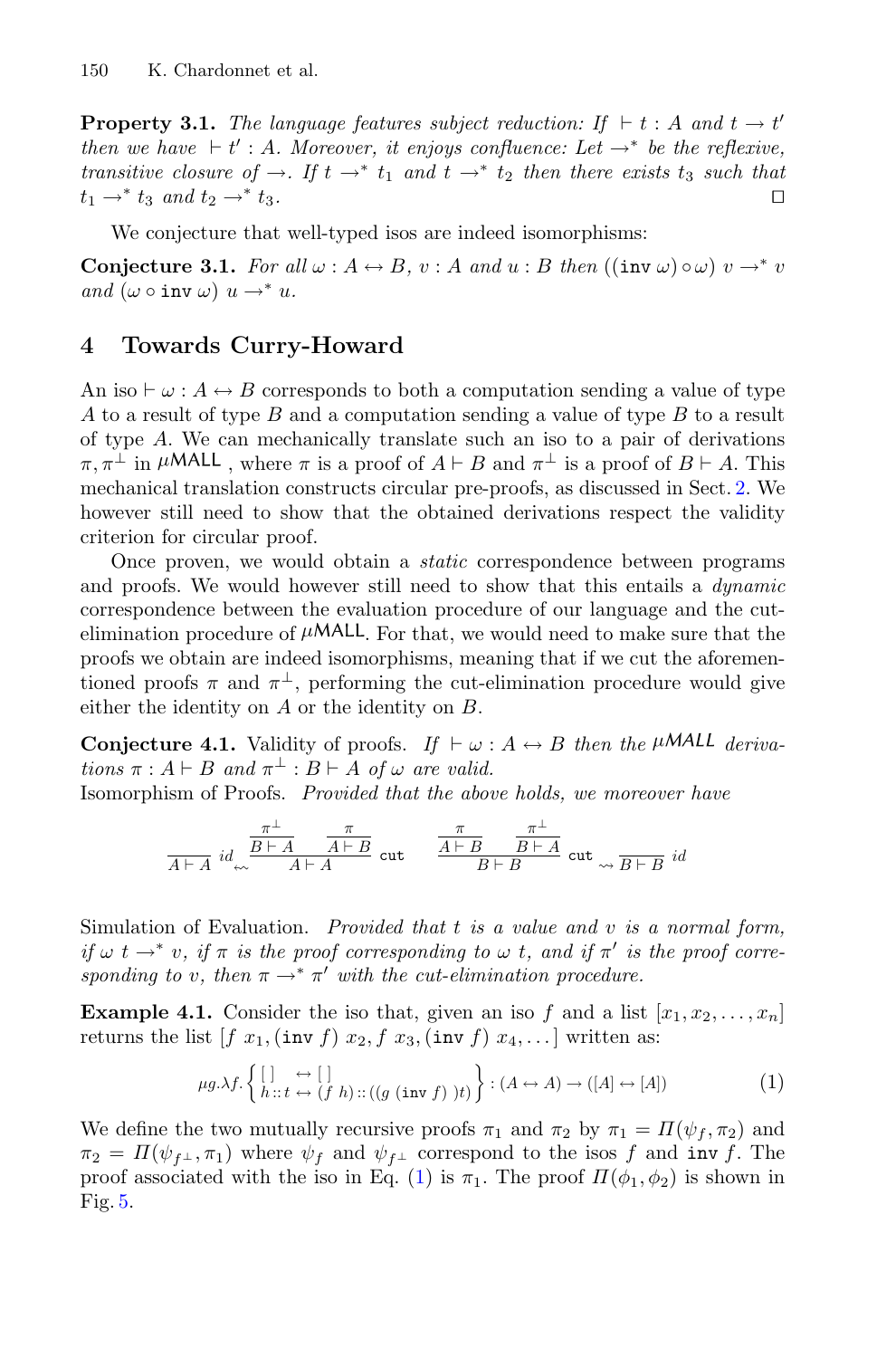**Property 3.1.** *The language features subject reduction: If*  $\vdash t : A$  *and*  $t \rightarrow t'$ *then we have*  $\vdash t' : A$ *. Moreover, it enjoys confluence: Let*  $\rightarrow^*$  *be the reflexive, transitive closure of*  $\rightarrow$ *. If*  $t \rightarrow^* t_1$  *and*  $t \rightarrow^* t_2$  *then there exists*  $t_3$  *such that*  $t_1 \rightarrow^* t_3$  *and*  $t_2 \rightarrow^* t_3$ . П

We conjecture that well-typed isos are indeed isomorphisms:

**Conjecture 3.1.** For all  $\omega : A \leftrightarrow B$ ,  $v : A$  and  $u : B$  then  $((\text{inv }\omega) \circ \omega) v \rightarrow^* v$ *and*  $(\omega \circ \mathbf{inv} \omega) u \rightarrow^* u$ .

## **4 Towards Curry-Howard**

An iso  $\vdash \omega : A \leftrightarrow B$  corresponds to both a computation sending a value of type A to a result of type B and a computation sending a value of type B to a result of type A. We can mechanically translate such an iso to a pair of derivations  $\pi, \pi^{\perp}$  in  $\mu$ MALL, where  $\pi$  is a proof of  $A \vdash B$  and  $\pi^{\perp}$  is a proof of  $B \vdash A$ . This mechanical translation constructs circular pre-proofs, as discussed in Sect. [2.](#page-2-1) We however still need to show that the obtained derivations respect the validity criterion for circular proof.

Once proven, we would obtain a *static* correspondence between programs and proofs. We would however still need to show that this entails a *dynamic* correspondence between the evaluation procedure of our language and the cutelimination procedure of  $\mu$ MALL. For that, we would need to make sure that the proofs we obtain are indeed isomorphisms, meaning that if we cut the aforementioned proofs  $\pi$  and  $\pi^{\perp}$ , performing the cut-elimination procedure would give either the identity on A or the identity on B.

**Conjecture 4.1.** Validity of proofs. *If*  $\vdash \omega : A \leftrightarrow B$  *then the*  $\mu$ *MALL derivations*  $\pi : A \vdash B$  *and*  $\pi^{\perp} : B \vdash A$  *of*  $\omega$  *are valid.* 

Isomorphism of Proofs. *Provided that the above holds, we moreover have*

$$
\frac{\pi^{\perp}}{A \vdash A} \, id \stackrel{\pi^{\perp}}{\sim} \frac{\pi}{A \vdash A} \quad \text{cut} \qquad \frac{\pi}{A \vdash B} \quad \frac{\pi^{\perp}}{B \vdash A} \, \text{cut} \, \sim \frac{B \vdash A}{B \vdash B} \, id
$$

Simulation of Evaluation. *Provided that* t *is a value and* v *is a normal form, if*  $\omega$  *t*  $\rightarrow^*$  *v*, *if*  $\pi$  *is the proof corresponding to*  $\omega$  *t*, and *if*  $\pi'$  *is the proof corresponding to* v, then  $\pi \rightarrow^* \pi'$  with the cut-elimination procedure.

**Example 4.1.** Consider the iso that, given an iso f and a list  $[x_1, x_2, \ldots, x_n]$ returns the list  $f(x_1, (\text{inv } f) x_2, f(x_3, (\text{inv } f) x_4, \ldots)$  written as:

<span id="page-6-0"></span>
$$
\mu g.\lambda f.\begin{cases}\n\begin{bmatrix}\n\end{bmatrix} \leftrightarrow \begin{bmatrix}\n\end{bmatrix} \\
h::t \leftrightarrow (f h)::((g (inv f))t)\n\end{cases} \n\colon (A \leftrightarrow A) \to ([A] \leftrightarrow [A])
$$
\n(1)

We define the two mutually recursive proofs  $\pi_1$  and  $\pi_2$  by  $\pi_1 = \Pi(\psi_f, \pi_2)$  and  $\pi_2 = \Pi(\psi_{f^\perp}, \pi_1)$  where  $\psi_f$  and  $\psi_{f^\perp}$  correspond to the isos f and inv f. The proof associated with the iso in Eq. [\(1\)](#page-6-0) is  $\pi_1$ . The proof  $\Pi(\phi_1, \phi_2)$  is shown in Fig. [5.](#page-7-6)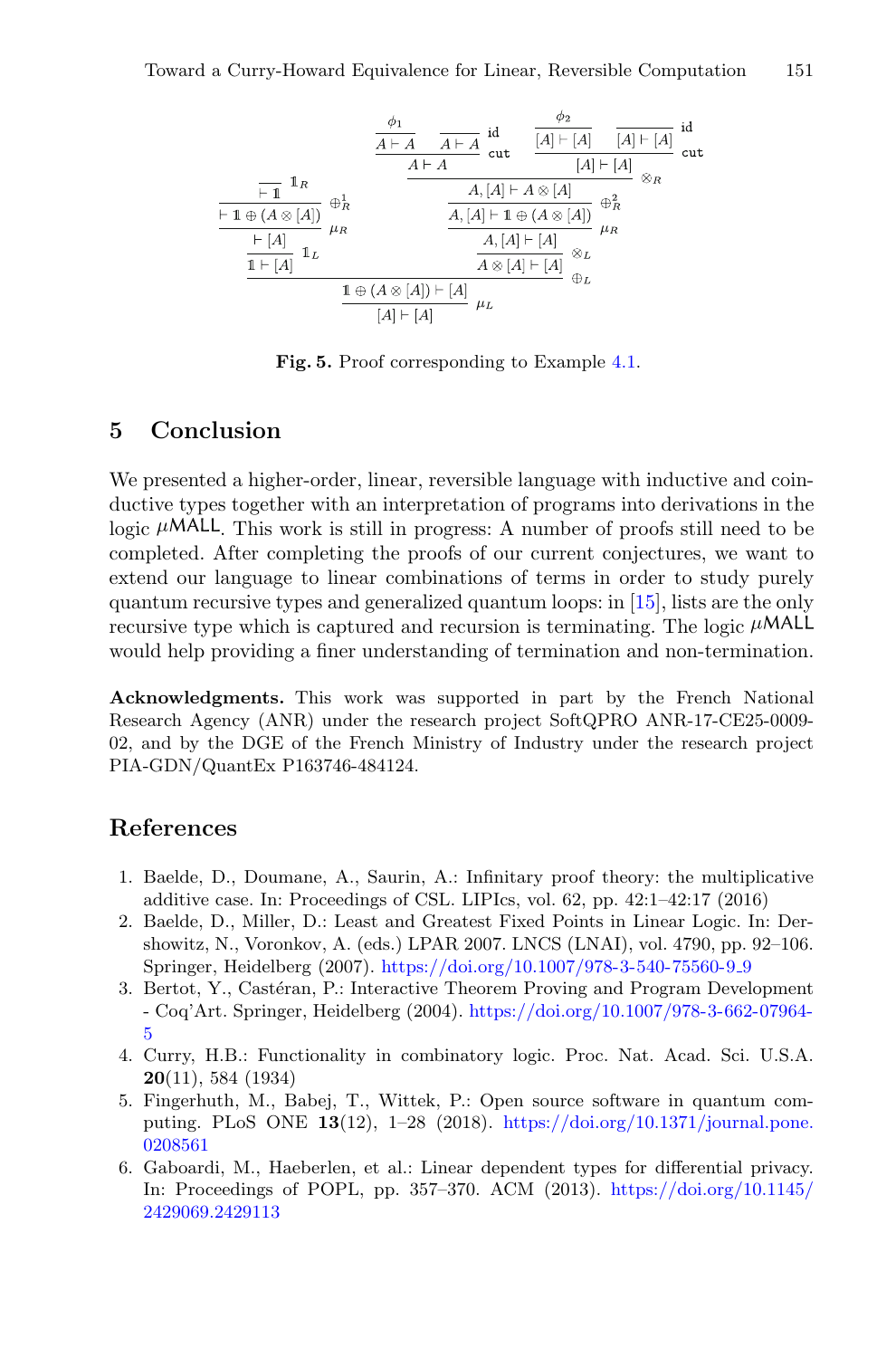

<span id="page-7-6"></span>**Fig. 5.** Proof corresponding to Example [4.1.](#page-6-0)

#### **5 Conclusion**

We presented a higher-order, linear, reversible language with inductive and coinductive types together with an interpretation of programs into derivations in the logic  $\mu$ MALL. This work is still in progress: A number of proofs still need to be completed. After completing the proofs of our current conjectures, we want to extend our language to linear combinations of terms in order to study purely quantum recursive types and generalized quantum loops: in [\[15\]](#page-8-9), lists are the only recursive type which is captured and recursion is terminating. The logic  $\mu$ MALL would help providing a finer understanding of termination and non-termination.

**Acknowledgments.** This work was supported in part by the French National Research Agency (ANR) under the research project SoftQPRO ANR-17-CE25-0009- 02, and by the DGE of the French Ministry of Industry under the research project PIA-GDN/QuantEx P163746-484124.

#### **References**

- <span id="page-7-4"></span>1. Baelde, D., Doumane, A., Saurin, A.: Infinitary proof theory: the multiplicative additive case. In: Proceedings of CSL. LIPIcs, vol. 62, pp. 42:1–42:17 (2016)
- <span id="page-7-5"></span>2. Baelde, D., Miller, D.: Least and Greatest Fixed Points in Linear Logic. In: Dershowitz, N., Voronkov, A. (eds.) LPAR 2007. LNCS (LNAI), vol. 4790, pp. 92–106. Springer, Heidelberg (2007). [https://doi.org/10.1007/978-3-540-75560-9](https://doi.org/10.1007/978-3-540-75560-9_9) 9
- <span id="page-7-1"></span>3. Bertot, Y., Castéran, P.: Interactive Theorem Proving and Program Development - Coq'Art. Springer, Heidelberg (2004). [https://doi.org/10.1007/978-3-662-07964-](https://doi.org/10.1007/978-3-662-07964-5) [5](https://doi.org/10.1007/978-3-662-07964-5)
- <span id="page-7-0"></span>4. Curry, H.B.: Functionality in combinatory logic. Proc. Nat. Acad. Sci. U.S.A. **20**(11), 584 (1934)
- <span id="page-7-3"></span>5. Fingerhuth, M., Babej, T., Wittek, P.: Open source software in quantum computing. PLoS ONE **13**(12), 1–28 (2018). [https://doi.org/10.1371/journal.pone.](https://doi.org/10.1371/journal.pone.0208561) [0208561](https://doi.org/10.1371/journal.pone.0208561)
- <span id="page-7-2"></span>6. Gaboardi, M., Haeberlen, et al.: Linear dependent types for differential privacy. In: Proceedings of POPL, pp. 357–370. ACM (2013). [https://doi.org/10.1145/](https://doi.org/10.1145/2429069.2429113) [2429069.2429113](https://doi.org/10.1145/2429069.2429113)